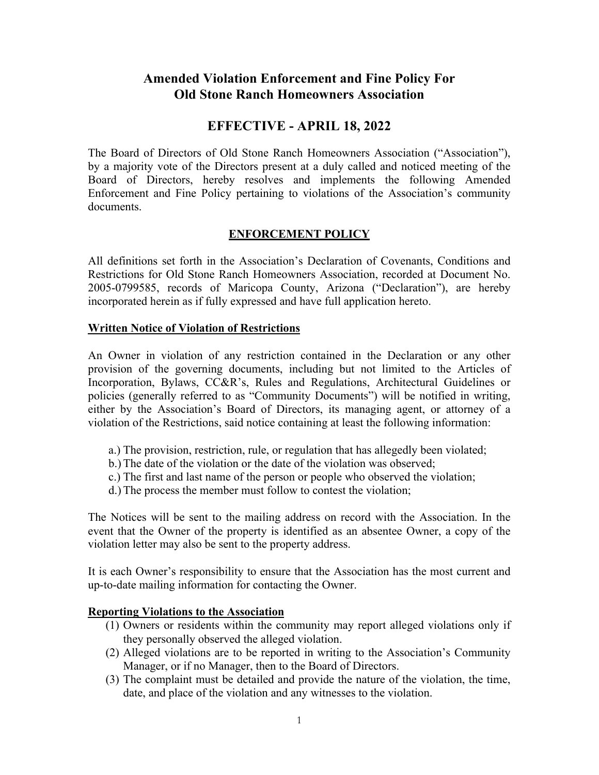# **Amended Violation Enforcement and Fine Policy For Old Stone Ranch Homeowners Association**

## **EFFECTIVE - APRIL 18, 2022**

The Board of Directors of Old Stone Ranch Homeowners Association ("Association"), by a majority vote of the Directors present at a duly called and noticed meeting of the Board of Directors, hereby resolves and implements the following Amended Enforcement and Fine Policy pertaining to violations of the Association's community documents.

## **ENFORCEMENT POLICY**

All definitions set forth in the Association's Declaration of Covenants, Conditions and Restrictions for Old Stone Ranch Homeowners Association, recorded at Document No. 2005-0799585, records of Maricopa County, Arizona ("Declaration"), are hereby incorporated herein as if fully expressed and have full application hereto.

#### **Written Notice of Violation of Restrictions**

An Owner in violation of any restriction contained in the Declaration or any other provision of the governing documents, including but not limited to the Articles of Incorporation, Bylaws, CC&R's, Rules and Regulations, Architectural Guidelines or policies (generally referred to as "Community Documents") will be notified in writing, either by the Association's Board of Directors, its managing agent, or attorney of a violation of the Restrictions, said notice containing at least the following information:

- a.) The provision, restriction, rule, or regulation that has allegedly been violated;
- b.) The date of the violation or the date of the violation was observed;
- c.) The first and last name of the person or people who observed the violation;
- d.) The process the member must follow to contest the violation;

The Notices will be sent to the mailing address on record with the Association. In the event that the Owner of the property is identified as an absentee Owner, a copy of the violation letter may also be sent to the property address.

It is each Owner's responsibility to ensure that the Association has the most current and up-to-date mailing information for contacting the Owner.

#### **Reporting Violations to the Association**

- (1) Owners or residents within the community may report alleged violations only if they personally observed the alleged violation.
- (2) Alleged violations are to be reported in writing to the Association's Community Manager, or if no Manager, then to the Board of Directors.
- (3) The complaint must be detailed and provide the nature of the violation, the time, date, and place of the violation and any witnesses to the violation.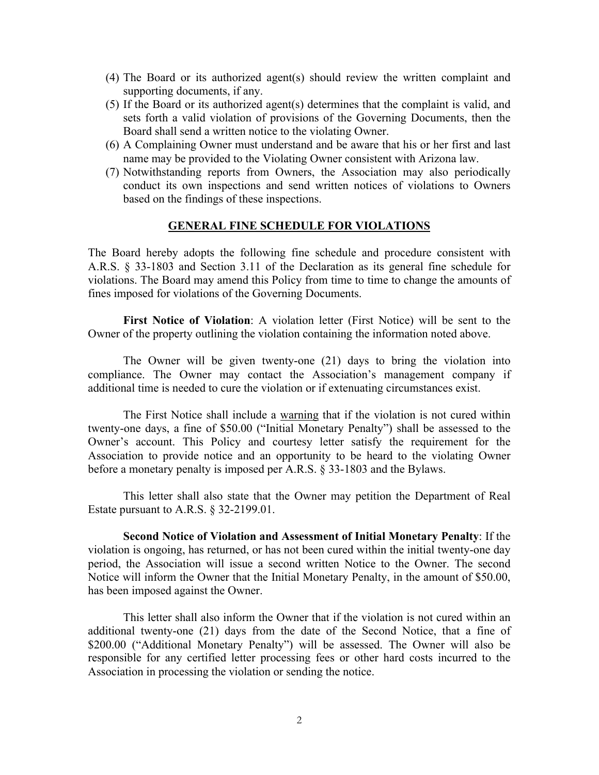- (4) The Board or its authorized agent(s) should review the written complaint and supporting documents, if any.
- (5) If the Board or its authorized agent(s) determines that the complaint is valid, and sets forth a valid violation of provisions of the Governing Documents, then the Board shall send a written notice to the violating Owner.
- (6) A Complaining Owner must understand and be aware that his or her first and last name may be provided to the Violating Owner consistent with Arizona law.
- (7) Notwithstanding reports from Owners, the Association may also periodically conduct its own inspections and send written notices of violations to Owners based on the findings of these inspections.

#### **GENERAL FINE SCHEDULE FOR VIOLATIONS**

The Board hereby adopts the following fine schedule and procedure consistent with A.R.S. § 33-1803 and Section 3.11 of the Declaration as its general fine schedule for violations. The Board may amend this Policy from time to time to change the amounts of fines imposed for violations of the Governing Documents.

 **First Notice of Violation**: A violation letter (First Notice) will be sent to the Owner of the property outlining the violation containing the information noted above.

The Owner will be given twenty-one (21) days to bring the violation into compliance. The Owner may contact the Association's management company if additional time is needed to cure the violation or if extenuating circumstances exist.

The First Notice shall include a warning that if the violation is not cured within twenty-one days, a fine of \$50.00 ("Initial Monetary Penalty") shall be assessed to the Owner's account. This Policy and courtesy letter satisfy the requirement for the Association to provide notice and an opportunity to be heard to the violating Owner before a monetary penalty is imposed per A.R.S. § 33-1803 and the Bylaws.

This letter shall also state that the Owner may petition the Department of Real Estate pursuant to A.R.S. § 32-2199.01.

 **Second Notice of Violation and Assessment of Initial Monetary Penalty**: If the violation is ongoing, has returned, or has not been cured within the initial twenty-one day period, the Association will issue a second written Notice to the Owner. The second Notice will inform the Owner that the Initial Monetary Penalty, in the amount of \$50.00, has been imposed against the Owner.

This letter shall also inform the Owner that if the violation is not cured within an additional twenty-one (21) days from the date of the Second Notice, that a fine of \$200.00 ("Additional Monetary Penalty") will be assessed. The Owner will also be responsible for any certified letter processing fees or other hard costs incurred to the Association in processing the violation or sending the notice.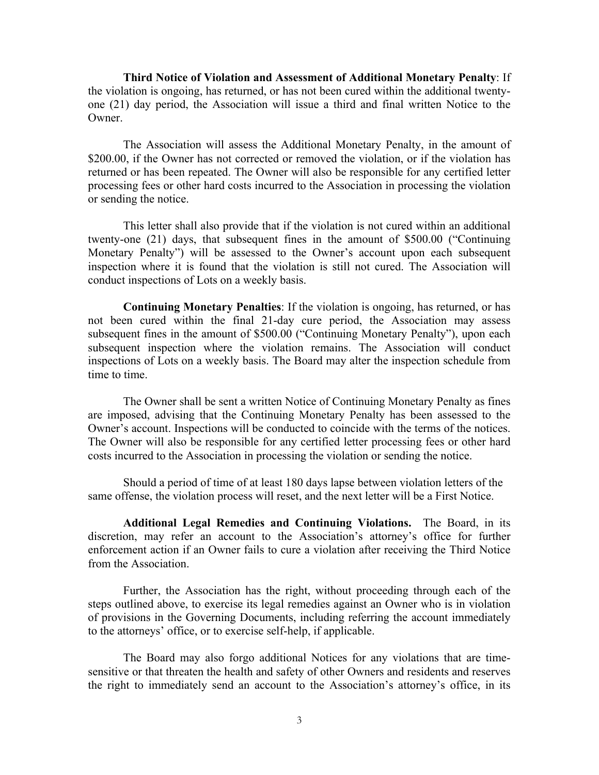**Third Notice of Violation and Assessment of Additional Monetary Penalty**: If the violation is ongoing, has returned, or has not been cured within the additional twentyone (21) day period, the Association will issue a third and final written Notice to the Owner.

The Association will assess the Additional Monetary Penalty, in the amount of \$200.00, if the Owner has not corrected or removed the violation, or if the violation has returned or has been repeated. The Owner will also be responsible for any certified letter processing fees or other hard costs incurred to the Association in processing the violation or sending the notice.

This letter shall also provide that if the violation is not cured within an additional twenty-one (21) days, that subsequent fines in the amount of \$500.00 ("Continuing Monetary Penalty") will be assessed to the Owner's account upon each subsequent inspection where it is found that the violation is still not cured. The Association will conduct inspections of Lots on a weekly basis.

 **Continuing Monetary Penalties**: If the violation is ongoing, has returned, or has not been cured within the final 21-day cure period, the Association may assess subsequent fines in the amount of \$500.00 ("Continuing Monetary Penalty"), upon each subsequent inspection where the violation remains. The Association will conduct inspections of Lots on a weekly basis. The Board may alter the inspection schedule from time to time.

The Owner shall be sent a written Notice of Continuing Monetary Penalty as fines are imposed, advising that the Continuing Monetary Penalty has been assessed to the Owner's account. Inspections will be conducted to coincide with the terms of the notices. The Owner will also be responsible for any certified letter processing fees or other hard costs incurred to the Association in processing the violation or sending the notice.

Should a period of time of at least 180 days lapse between violation letters of the same offense, the violation process will reset, and the next letter will be a First Notice.

**Additional Legal Remedies and Continuing Violations.** The Board, in its discretion, may refer an account to the Association's attorney's office for further enforcement action if an Owner fails to cure a violation after receiving the Third Notice from the Association.

Further, the Association has the right, without proceeding through each of the steps outlined above, to exercise its legal remedies against an Owner who is in violation of provisions in the Governing Documents, including referring the account immediately to the attorneys' office, or to exercise self-help, if applicable.

The Board may also forgo additional Notices for any violations that are timesensitive or that threaten the health and safety of other Owners and residents and reserves the right to immediately send an account to the Association's attorney's office, in its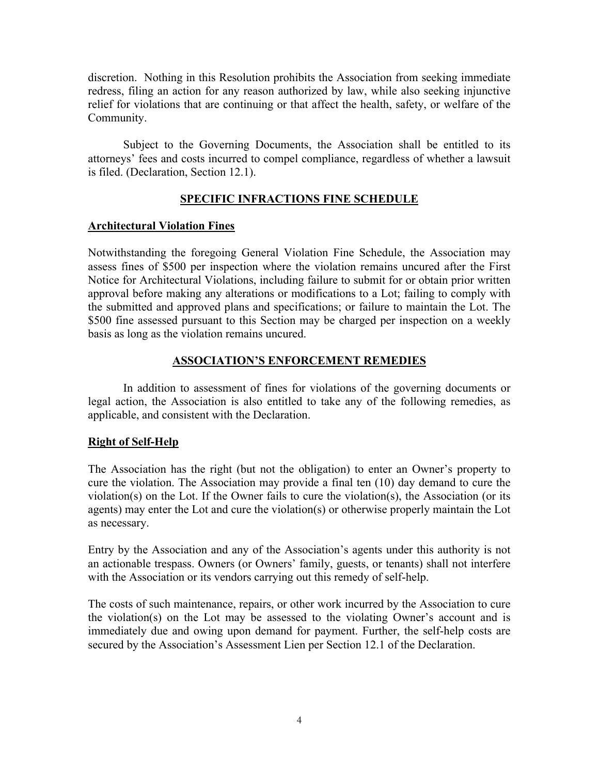discretion. Nothing in this Resolution prohibits the Association from seeking immediate redress, filing an action for any reason authorized by law, while also seeking injunctive relief for violations that are continuing or that affect the health, safety, or welfare of the Community.

Subject to the Governing Documents, the Association shall be entitled to its attorneys' fees and costs incurred to compel compliance, regardless of whether a lawsuit is filed. (Declaration, Section 12.1).

## **SPECIFIC INFRACTIONS FINE SCHEDULE**

### **Architectural Violation Fines**

Notwithstanding the foregoing General Violation Fine Schedule, the Association may assess fines of \$500 per inspection where the violation remains uncured after the First Notice for Architectural Violations, including failure to submit for or obtain prior written approval before making any alterations or modifications to a Lot; failing to comply with the submitted and approved plans and specifications; or failure to maintain the Lot. The \$500 fine assessed pursuant to this Section may be charged per inspection on a weekly basis as long as the violation remains uncured.

### **ASSOCIATION'S ENFORCEMENT REMEDIES**

 In addition to assessment of fines for violations of the governing documents or legal action, the Association is also entitled to take any of the following remedies, as applicable, and consistent with the Declaration.

## **Right of Self-Help**

The Association has the right (but not the obligation) to enter an Owner's property to cure the violation. The Association may provide a final ten (10) day demand to cure the violation(s) on the Lot. If the Owner fails to cure the violation(s), the Association (or its agents) may enter the Lot and cure the violation(s) or otherwise properly maintain the Lot as necessary.

Entry by the Association and any of the Association's agents under this authority is not an actionable trespass. Owners (or Owners' family, guests, or tenants) shall not interfere with the Association or its vendors carrying out this remedy of self-help.

The costs of such maintenance, repairs, or other work incurred by the Association to cure the violation(s) on the Lot may be assessed to the violating Owner's account and is immediately due and owing upon demand for payment. Further, the self-help costs are secured by the Association's Assessment Lien per Section 12.1 of the Declaration.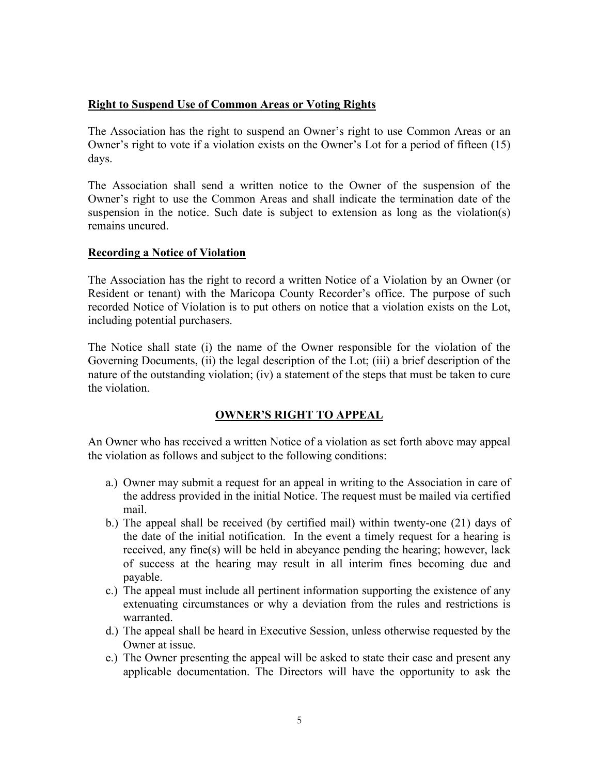### **Right to Suspend Use of Common Areas or Voting Rights**

The Association has the right to suspend an Owner's right to use Common Areas or an Owner's right to vote if a violation exists on the Owner's Lot for a period of fifteen (15) days.

The Association shall send a written notice to the Owner of the suspension of the Owner's right to use the Common Areas and shall indicate the termination date of the suspension in the notice. Such date is subject to extension as long as the violation(s) remains uncured.

### **Recording a Notice of Violation**

The Association has the right to record a written Notice of a Violation by an Owner (or Resident or tenant) with the Maricopa County Recorder's office. The purpose of such recorded Notice of Violation is to put others on notice that a violation exists on the Lot, including potential purchasers.

The Notice shall state (i) the name of the Owner responsible for the violation of the Governing Documents, (ii) the legal description of the Lot; (iii) a brief description of the nature of the outstanding violation; (iv) a statement of the steps that must be taken to cure the violation.

# **OWNER'S RIGHT TO APPEAL**

An Owner who has received a written Notice of a violation as set forth above may appeal the violation as follows and subject to the following conditions:

- a.) Owner may submit a request for an appeal in writing to the Association in care of the address provided in the initial Notice. The request must be mailed via certified mail.
- b.) The appeal shall be received (by certified mail) within twenty-one (21) days of the date of the initial notification. In the event a timely request for a hearing is received, any fine(s) will be held in abeyance pending the hearing; however, lack of success at the hearing may result in all interim fines becoming due and payable.
- c.) The appeal must include all pertinent information supporting the existence of any extenuating circumstances or why a deviation from the rules and restrictions is warranted.
- d.) The appeal shall be heard in Executive Session, unless otherwise requested by the Owner at issue.
- e.) The Owner presenting the appeal will be asked to state their case and present any applicable documentation. The Directors will have the opportunity to ask the